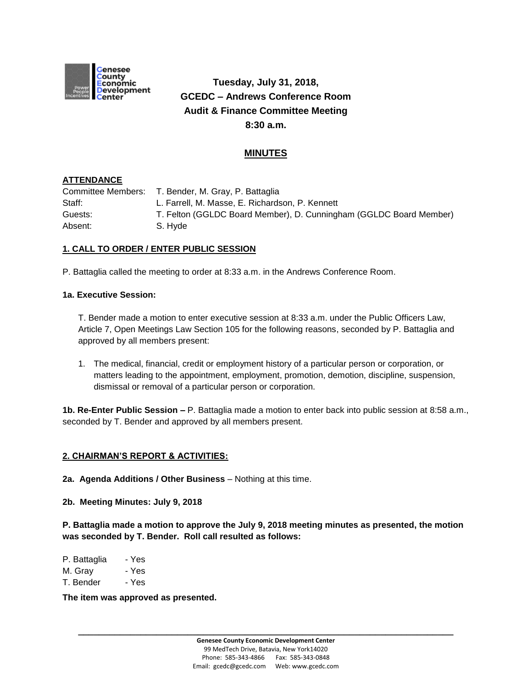

# **Tuesday, July 31, 2018, GCEDC – Andrews Conference Room Audit & Finance Committee Meeting 8:30 a.m.**

# **MINUTES**

## **ATTENDANCE**

Committee Members: T. Bender, M. Gray, P. Battaglia Staff: L. Farrell, M. Masse, E. Richardson, P. Kennett Guests: T. Felton (GGLDC Board Member), D. Cunningham (GGLDC Board Member) Absent: S. Hyde

# **1. CALL TO ORDER / ENTER PUBLIC SESSION**

P. Battaglia called the meeting to order at 8:33 a.m. in the Andrews Conference Room.

#### **1a. Executive Session:**

T. Bender made a motion to enter executive session at 8:33 a.m. under the Public Officers Law, Article 7, Open Meetings Law Section 105 for the following reasons, seconded by P. Battaglia and approved by all members present:

1. The medical, financial, credit or employment history of a particular person or corporation, or matters leading to the appointment, employment, promotion, demotion, discipline, suspension, dismissal or removal of a particular person or corporation.

**1b. Re-Enter Public Session –** P. Battaglia made a motion to enter back into public session at 8:58 a.m., seconded by T. Bender and approved by all members present.

## **2. CHAIRMAN'S REPORT & ACTIVITIES:**

**2a. Agenda Additions / Other Business** – Nothing at this time.

**2b. Meeting Minutes: July 9, 2018**

**P. Battaglia made a motion to approve the July 9, 2018 meeting minutes as presented, the motion was seconded by T. Bender. Roll call resulted as follows:**

| P. Battaglia | - Yes |
|--------------|-------|
|--------------|-------|

M. Gray - Yes

T. Bender - Yes

**The item was approved as presented.**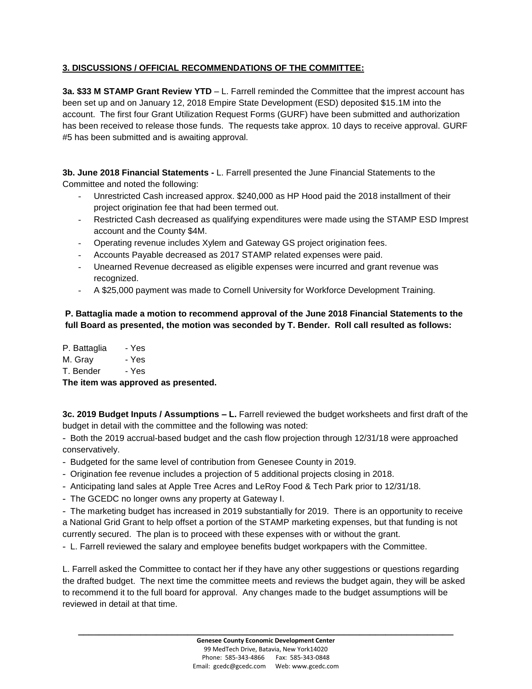# **3. DISCUSSIONS / OFFICIAL RECOMMENDATIONS OF THE COMMITTEE:**

**3a. \$33 M STAMP Grant Review YTD** – L. Farrell reminded the Committee that the imprest account has been set up and on January 12, 2018 Empire State Development (ESD) deposited \$15.1M into the account. The first four Grant Utilization Request Forms (GURF) have been submitted and authorization has been received to release those funds. The requests take approx. 10 days to receive approval. GURF #5 has been submitted and is awaiting approval.

**3b. June 2018 Financial Statements -** L. Farrell presented the June Financial Statements to the Committee and noted the following:

- Unrestricted Cash increased approx. \$240,000 as HP Hood paid the 2018 installment of their project origination fee that had been termed out.
- Restricted Cash decreased as qualifying expenditures were made using the STAMP ESD Imprest account and the County \$4M.
- Operating revenue includes Xylem and Gateway GS project origination fees.
- Accounts Payable decreased as 2017 STAMP related expenses were paid.
- Unearned Revenue decreased as eligible expenses were incurred and grant revenue was recognized.
- A \$25,000 payment was made to Cornell University for Workforce Development Training.

# **P. Battaglia made a motion to recommend approval of the June 2018 Financial Statements to the full Board as presented, the motion was seconded by T. Bender. Roll call resulted as follows:**

P. Battaglia - Yes M. Gray - Yes T. Bender - Yes **The item was approved as presented.**

**3c. 2019 Budget Inputs / Assumptions – L.** Farrell reviewed the budget worksheets and first draft of the budget in detail with the committee and the following was noted:

- Both the 2019 accrual-based budget and the cash flow projection through 12/31/18 were approached conservatively.

- Budgeted for the same level of contribution from Genesee County in 2019.
- Origination fee revenue includes a projection of 5 additional projects closing in 2018.
- Anticipating land sales at Apple Tree Acres and LeRoy Food & Tech Park prior to 12/31/18.
- The GCEDC no longer owns any property at Gateway I.

- The marketing budget has increased in 2019 substantially for 2019. There is an opportunity to receive a National Grid Grant to help offset a portion of the STAMP marketing expenses, but that funding is not currently secured. The plan is to proceed with these expenses with or without the grant.

- L. Farrell reviewed the salary and employee benefits budget workpapers with the Committee.

L. Farrell asked the Committee to contact her if they have any other suggestions or questions regarding the drafted budget. The next time the committee meets and reviews the budget again, they will be asked to recommend it to the full board for approval. Any changes made to the budget assumptions will be reviewed in detail at that time.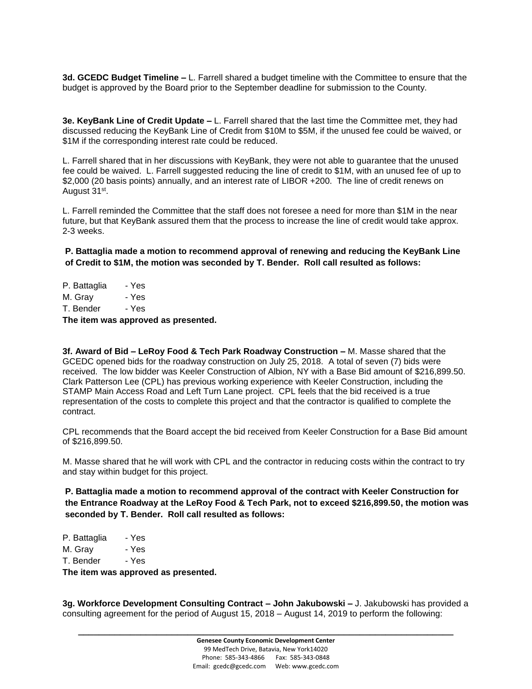**3d. GCEDC Budget Timeline –** L. Farrell shared a budget timeline with the Committee to ensure that the budget is approved by the Board prior to the September deadline for submission to the County.

**3e. KeyBank Line of Credit Update –** L. Farrell shared that the last time the Committee met, they had discussed reducing the KeyBank Line of Credit from \$10M to \$5M, if the unused fee could be waived, or \$1M if the corresponding interest rate could be reduced.

L. Farrell shared that in her discussions with KeyBank, they were not able to guarantee that the unused fee could be waived. L. Farrell suggested reducing the line of credit to \$1M, with an unused fee of up to \$2,000 (20 basis points) annually, and an interest rate of LIBOR +200. The line of credit renews on August 31<sup>st</sup>.

L. Farrell reminded the Committee that the staff does not foresee a need for more than \$1M in the near future, but that KeyBank assured them that the process to increase the line of credit would take approx. 2-3 weeks.

**P. Battaglia made a motion to recommend approval of renewing and reducing the KeyBank Line of Credit to \$1M, the motion was seconded by T. Bender. Roll call resulted as follows:**

P. Battaglia - Yes M. Gray - Yes T. Bender - Yes

**The item was approved as presented.**

**3f. Award of Bid – LeRoy Food & Tech Park Roadway Construction –** M. Masse shared that the GCEDC opened bids for the roadway construction on July 25, 2018. A total of seven (7) bids were received. The low bidder was Keeler Construction of Albion, NY with a Base Bid amount of \$216,899.50. Clark Patterson Lee (CPL) has previous working experience with Keeler Construction, including the STAMP Main Access Road and Left Turn Lane project. CPL feels that the bid received is a true representation of the costs to complete this project and that the contractor is qualified to complete the contract.

CPL recommends that the Board accept the bid received from Keeler Construction for a Base Bid amount of \$216,899.50.

M. Masse shared that he will work with CPL and the contractor in reducing costs within the contract to try and stay within budget for this project.

**P. Battaglia made a motion to recommend approval of the contract with Keeler Construction for the Entrance Roadway at the LeRoy Food & Tech Park, not to exceed \$216,899.50, the motion was seconded by T. Bender. Roll call resulted as follows:**

P. Battaglia - Yes M. Gray - Yes T. Bender - Yes

**The item was approved as presented.**

**3g. Workforce Development Consulting Contract – John Jakubowski –** J. Jakubowski has provided a consulting agreement for the period of August 15, 2018 – August 14, 2019 to perform the following: